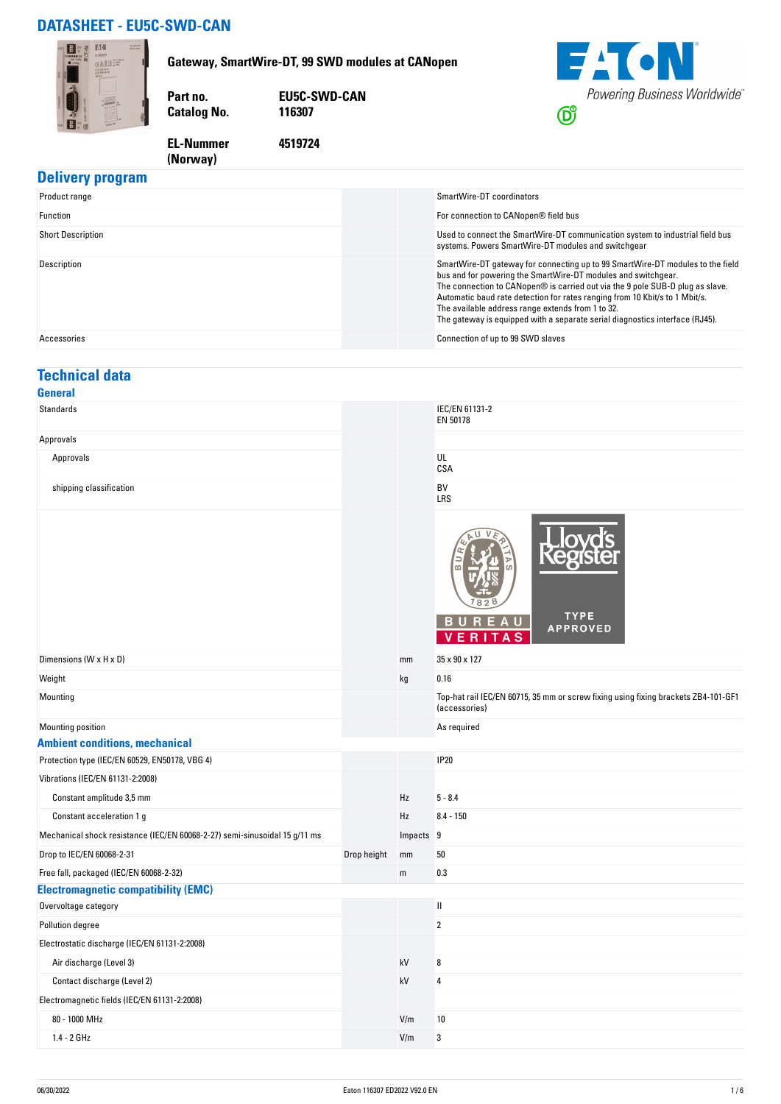## **DATASHEET - EU5C-SWD-CAN**

**(Norway)** 



#### **Delivery program**

| Product range            | SmartWire-DT coordinators                                                                                                                                                                                                                                                                                                                                                                                                                            |
|--------------------------|------------------------------------------------------------------------------------------------------------------------------------------------------------------------------------------------------------------------------------------------------------------------------------------------------------------------------------------------------------------------------------------------------------------------------------------------------|
| Function                 | For connection to CANopen® field bus                                                                                                                                                                                                                                                                                                                                                                                                                 |
| <b>Short Description</b> | Used to connect the SmartWire-DT communication system to industrial field bus<br>systems. Powers SmartWire-DT modules and switchgear                                                                                                                                                                                                                                                                                                                 |
| Description              | SmartWire-DT gateway for connecting up to 99 SmartWire-DT modules to the field<br>bus and for powering the SmartWire-DT modules and switchgear.<br>The connection to CANopen® is carried out via the 9 pole SUB-D plug as slave.<br>Automatic baud rate detection for rates ranging from 10 Kbit/s to 1 Mbit/s.<br>The available address range extends from 1 to 32.<br>The gateway is equipped with a separate serial diagnostics interface (RJ45). |
| Accessories              | Connection of up to 99 SWD slaves                                                                                                                                                                                                                                                                                                                                                                                                                    |

## **Technical data**

| General                                                                    |             |             |                                                                                                     |
|----------------------------------------------------------------------------|-------------|-------------|-----------------------------------------------------------------------------------------------------|
| Standards                                                                  |             |             | IEC/EN 61131-2<br>EN 50178                                                                          |
| Approvals                                                                  |             |             |                                                                                                     |
| Approvals                                                                  |             |             | UL<br>CSA                                                                                           |
| shipping classification                                                    |             |             | BV<br><b>LRS</b>                                                                                    |
|                                                                            |             |             | <b>TYPE</b><br>BUREAU<br><b>APPROVED</b><br>R<br>A <sub>S</sub><br>v<br>F.                          |
| Dimensions (W x H x D)                                                     |             | mm          | 35 x 90 x 127                                                                                       |
| Weight                                                                     |             | kg          | 0.16                                                                                                |
| Mounting                                                                   |             |             | Top-hat rail IEC/EN 60715, 35 mm or screw fixing using fixing brackets ZB4-101-GF1<br>(accessories) |
| Mounting position                                                          |             |             | As required                                                                                         |
| <b>Ambient conditions, mechanical</b>                                      |             |             |                                                                                                     |
| Protection type (IEC/EN 60529, EN50178, VBG 4)                             |             |             | <b>IP20</b>                                                                                         |
| Vibrations (IEC/EN 61131-2:2008)                                           |             |             |                                                                                                     |
| Constant amplitude 3,5 mm                                                  |             | Hz          | $5 - 8.4$                                                                                           |
| Constant acceleration 1 g                                                  |             | Hz          | $8.4 - 150$                                                                                         |
| Mechanical shock resistance (IEC/EN 60068-2-27) semi-sinusoidal 15 g/11 ms |             | Impacts 9   |                                                                                                     |
| Drop to IEC/EN 60068-2-31                                                  | Drop height | mm          | 50                                                                                                  |
| Free fall, packaged (IEC/EN 60068-2-32)                                    |             | $\mathsf m$ | 0.3                                                                                                 |
| <b>Electromagnetic compatibility (EMC)</b>                                 |             |             |                                                                                                     |
| Overvoltage category                                                       |             |             | $\sf II$                                                                                            |
| Pollution degree                                                           |             |             | $\overline{2}$                                                                                      |
| Electrostatic discharge (IEC/EN 61131-2:2008)                              |             |             |                                                                                                     |
| Air discharge (Level 3)                                                    |             | kV          | 8                                                                                                   |
| Contact discharge (Level 2)                                                |             | kV          | 4                                                                                                   |
| Electromagnetic fields (IEC/EN 61131-2:2008)                               |             |             |                                                                                                     |
| 80 - 1000 MHz                                                              |             | V/m         | 10                                                                                                  |
| 1.4 - 2 GHz                                                                |             | V/m         | 3                                                                                                   |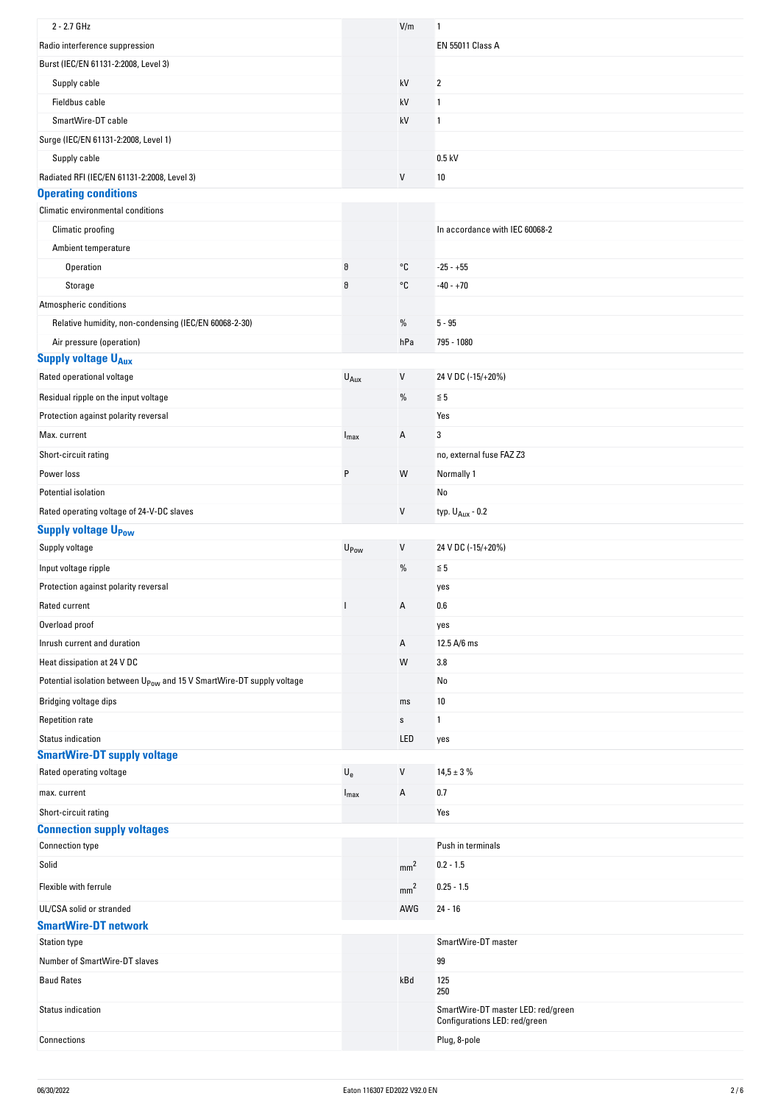| 2 - 2.7 GHz                                                                       |                           | V/m             | 1                                                                   |
|-----------------------------------------------------------------------------------|---------------------------|-----------------|---------------------------------------------------------------------|
| Radio interference suppression                                                    |                           |                 | <b>EN 55011 Class A</b>                                             |
| Burst (IEC/EN 61131-2:2008, Level 3)                                              |                           |                 |                                                                     |
| Supply cable                                                                      |                           | kV              | 2                                                                   |
| Fieldbus cable                                                                    |                           | kV              | 1                                                                   |
| SmartWire-DT cable                                                                |                           | kV              | 1                                                                   |
| Surge (IEC/EN 61131-2:2008, Level 1)                                              |                           |                 |                                                                     |
| Supply cable                                                                      |                           |                 | $0.5$ kV                                                            |
| Radiated RFI (IEC/EN 61131-2:2008, Level 3)                                       |                           | V               | 10                                                                  |
| <b>Operating conditions</b>                                                       |                           |                 |                                                                     |
| Climatic environmental conditions                                                 |                           |                 |                                                                     |
| Climatic proofing                                                                 |                           |                 | In accordance with IEC 60068-2                                      |
| Ambient temperature                                                               |                           |                 |                                                                     |
| Operation                                                                         | $\vartheta$               | °C              | $-25 - +55$                                                         |
| Storage                                                                           | $\vartheta$               | °C              | $-40 - +70$                                                         |
| Atmospheric conditions                                                            |                           |                 |                                                                     |
| Relative humidity, non-condensing (IEC/EN 60068-2-30)                             |                           | $\%$            | $5 - 95$                                                            |
| Air pressure (operation)                                                          |                           | hPa             | 795 - 1080                                                          |
| <b>Supply voltage UAux</b>                                                        |                           |                 |                                                                     |
| Rated operational voltage                                                         | $U_{Aux}$                 | $\sf V$         | 24 V DC (-15/+20%)                                                  |
| Residual ripple on the input voltage                                              |                           | %               | $\leq 5$                                                            |
| Protection against polarity reversal                                              |                           |                 | Yes                                                                 |
| Max. current                                                                      | $I_{\text{max}}$          | Α               | 3                                                                   |
| Short-circuit rating                                                              |                           |                 | no, external fuse FAZ Z3                                            |
| Power loss                                                                        | P                         | W               | Normally 1                                                          |
| Potential isolation                                                               |                           |                 | No                                                                  |
| Rated operating voltage of 24-V-DC slaves                                         |                           | V               | typ. $U_{Aux}$ - 0.2                                                |
| <b>Supply voltage UPow</b>                                                        |                           |                 |                                                                     |
| Supply voltage                                                                    | U <sub>Pow</sub>          | V               | 24 V DC (-15/+20%)                                                  |
| Input voltage ripple                                                              |                           | $\%$            | $\leq 5$                                                            |
| Protection against polarity reversal                                              |                           |                 | yes                                                                 |
| Rated current                                                                     |                           | Α               | 0.6                                                                 |
| Overload proof                                                                    |                           |                 | yes                                                                 |
| Inrush current and duration                                                       |                           | Α               | 12.5 A/6 ms                                                         |
| Heat dissipation at 24 V DC                                                       |                           | W               | 3.8                                                                 |
| Potential isolation between U <sub>Pow</sub> and 15 V SmartWire-DT supply voltage |                           |                 | No                                                                  |
|                                                                                   |                           |                 |                                                                     |
| Bridging voltage dips                                                             |                           | ms              | 10                                                                  |
| <b>Repetition rate</b>                                                            |                           | $\mathbb S$     | 1                                                                   |
| <b>Status indication</b><br><b>SmartWire-DT supply voltage</b>                    |                           | LED             | yes                                                                 |
| Rated operating voltage                                                           | $\mathsf{U}_{\mathsf{e}}$ | V               | $14,5 \pm 3 \%$                                                     |
|                                                                                   |                           |                 |                                                                     |
| max. current                                                                      | $I_{\text{max}}$          | Α               | 0.7                                                                 |
| Short-circuit rating<br><b>Connection supply voltages</b>                         |                           |                 | Yes                                                                 |
| <b>Connection type</b>                                                            |                           |                 | Push in terminals                                                   |
| Solid                                                                             |                           |                 | $0.2 - 1.5$                                                         |
|                                                                                   |                           | mm <sup>2</sup> |                                                                     |
| Flexible with ferrule                                                             |                           | mm <sup>2</sup> | $0.25 - 1.5$                                                        |
| UL/CSA solid or stranded                                                          |                           | AWG             | $24 - 16$                                                           |
| <b>SmartWire-DT network</b>                                                       |                           |                 |                                                                     |
| <b>Station type</b>                                                               |                           |                 | SmartWire-DT master                                                 |
| Number of SmartWire-DT slaves                                                     |                           |                 | 99                                                                  |
| <b>Baud Rates</b>                                                                 |                           | kBd             | 125<br>250                                                          |
| Status indication                                                                 |                           |                 | SmartWire-DT master LED: red/green<br>Configurations LED: red/green |
| Connections                                                                       |                           |                 | Plug, 8-pole                                                        |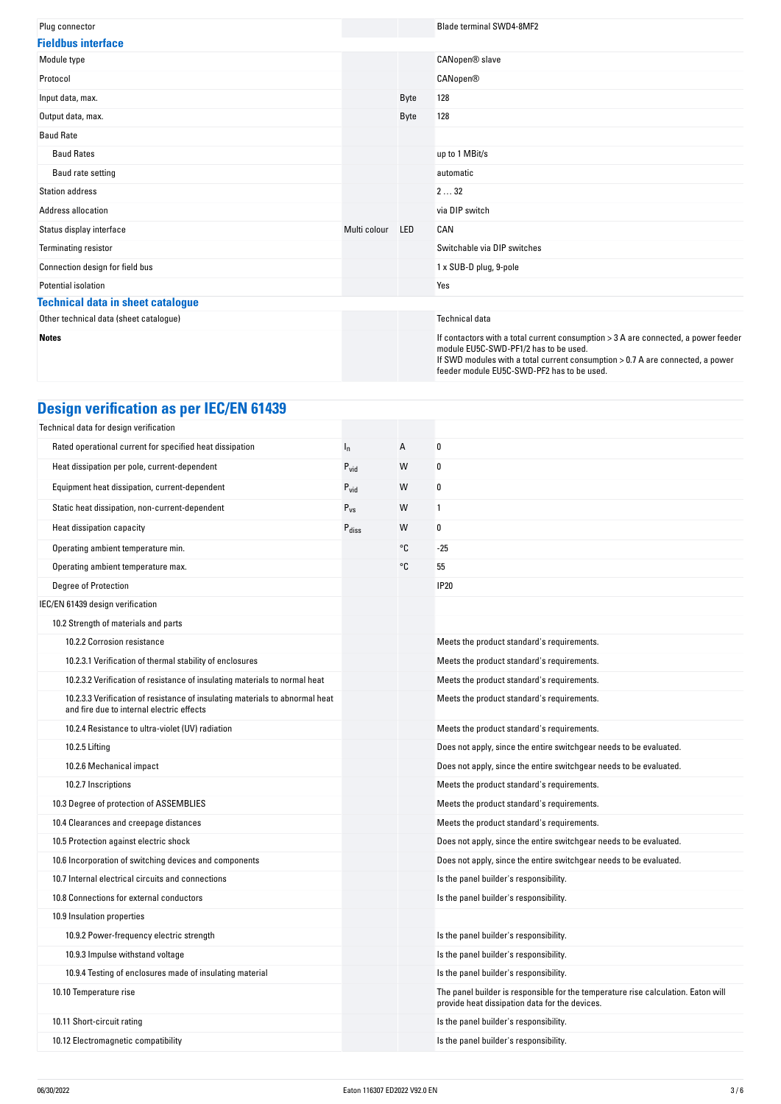| Plug connector                           |              |            | <b>Blade terminal SWD4-8MF2</b>                                                                                                                                                                                                                             |
|------------------------------------------|--------------|------------|-------------------------------------------------------------------------------------------------------------------------------------------------------------------------------------------------------------------------------------------------------------|
| <b>Fieldbus interface</b>                |              |            |                                                                                                                                                                                                                                                             |
| Module type                              |              |            | CANopen® slave                                                                                                                                                                                                                                              |
| Protocol                                 |              |            | <b>CANopen®</b>                                                                                                                                                                                                                                             |
| Input data, max.                         |              | Byte       | 128                                                                                                                                                                                                                                                         |
| Output data, max.                        |              | Byte       | 128                                                                                                                                                                                                                                                         |
| <b>Baud Rate</b>                         |              |            |                                                                                                                                                                                                                                                             |
| <b>Baud Rates</b>                        |              |            | up to 1 MBit/s                                                                                                                                                                                                                                              |
| Baud rate setting                        |              |            | automatic                                                                                                                                                                                                                                                   |
| <b>Station address</b>                   |              |            | 232                                                                                                                                                                                                                                                         |
| Address allocation                       |              |            | via DIP switch                                                                                                                                                                                                                                              |
| Status display interface                 | Multi colour | <b>LED</b> | CAN                                                                                                                                                                                                                                                         |
| <b>Terminating resistor</b>              |              |            | Switchable via DIP switches                                                                                                                                                                                                                                 |
| Connection design for field bus          |              |            | 1 x SUB-D plug, 9-pole                                                                                                                                                                                                                                      |
| Potential isolation                      |              |            | Yes                                                                                                                                                                                                                                                         |
| <b>Technical data in sheet catalogue</b> |              |            |                                                                                                                                                                                                                                                             |
| Other technical data (sheet catalogue)   |              |            | <b>Technical data</b>                                                                                                                                                                                                                                       |
| <b>Notes</b>                             |              |            | If contactors with a total current consumption > 3 A are connected, a power feeder<br>module EU5C-SWD-PF1/2 has to be used.<br>If SWD modules with a total current consumption > 0.7 A are connected, a power<br>feeder module EU5C-SWD-PF2 has to be used. |

# **Design verification as per IEC/EN 61439**

| Technical data for design verification                                                                                    |                   |    |                                                                                                                                     |
|---------------------------------------------------------------------------------------------------------------------------|-------------------|----|-------------------------------------------------------------------------------------------------------------------------------------|
| Rated operational current for specified heat dissipation                                                                  | $I_{n}$           | А  | 0                                                                                                                                   |
| Heat dissipation per pole, current-dependent                                                                              | $P_{vid}$         | W  | $\boldsymbol{0}$                                                                                                                    |
| Equipment heat dissipation, current-dependent                                                                             | $P_{\text{vid}}$  | W  | 0                                                                                                                                   |
| Static heat dissipation, non-current-dependent                                                                            | $P_{VS}$          | W  | 1                                                                                                                                   |
| Heat dissipation capacity                                                                                                 | $P_{\text{diss}}$ | W  | 0                                                                                                                                   |
| Operating ambient temperature min.                                                                                        |                   | °C | $-25$                                                                                                                               |
| Operating ambient temperature max.                                                                                        |                   | °C | 55                                                                                                                                  |
| Degree of Protection                                                                                                      |                   |    | <b>IP20</b>                                                                                                                         |
| IEC/EN 61439 design verification                                                                                          |                   |    |                                                                                                                                     |
| 10.2 Strength of materials and parts                                                                                      |                   |    |                                                                                                                                     |
| 10.2.2 Corrosion resistance                                                                                               |                   |    | Meets the product standard's requirements.                                                                                          |
| 10.2.3.1 Verification of thermal stability of enclosures                                                                  |                   |    | Meets the product standard's requirements.                                                                                          |
| 10.2.3.2 Verification of resistance of insulating materials to normal heat                                                |                   |    | Meets the product standard's requirements.                                                                                          |
| 10.2.3.3 Verification of resistance of insulating materials to abnormal heat<br>and fire due to internal electric effects |                   |    | Meets the product standard's requirements.                                                                                          |
| 10.2.4 Resistance to ultra-violet (UV) radiation                                                                          |                   |    | Meets the product standard's requirements.                                                                                          |
| 10.2.5 Lifting                                                                                                            |                   |    | Does not apply, since the entire switchgear needs to be evaluated.                                                                  |
| 10.2.6 Mechanical impact                                                                                                  |                   |    | Does not apply, since the entire switchgear needs to be evaluated.                                                                  |
| 10.2.7 Inscriptions                                                                                                       |                   |    | Meets the product standard's requirements.                                                                                          |
| 10.3 Degree of protection of ASSEMBLIES                                                                                   |                   |    | Meets the product standard's requirements.                                                                                          |
| 10.4 Clearances and creepage distances                                                                                    |                   |    | Meets the product standard's requirements.                                                                                          |
| 10.5 Protection against electric shock                                                                                    |                   |    | Does not apply, since the entire switchgear needs to be evaluated.                                                                  |
| 10.6 Incorporation of switching devices and components                                                                    |                   |    | Does not apply, since the entire switchgear needs to be evaluated.                                                                  |
| 10.7 Internal electrical circuits and connections                                                                         |                   |    | Is the panel builder's responsibility.                                                                                              |
| 10.8 Connections for external conductors                                                                                  |                   |    | Is the panel builder's responsibility.                                                                                              |
| 10.9 Insulation properties                                                                                                |                   |    |                                                                                                                                     |
| 10.9.2 Power-frequency electric strength                                                                                  |                   |    | Is the panel builder's responsibility.                                                                                              |
| 10.9.3 Impulse withstand voltage                                                                                          |                   |    | Is the panel builder's responsibility.                                                                                              |
| 10.9.4 Testing of enclosures made of insulating material                                                                  |                   |    | Is the panel builder's responsibility.                                                                                              |
| 10.10 Temperature rise                                                                                                    |                   |    | The panel builder is responsible for the temperature rise calculation. Eaton will<br>provide heat dissipation data for the devices. |
| 10.11 Short-circuit rating                                                                                                |                   |    | Is the panel builder's responsibility.                                                                                              |
| 10.12 Electromagnetic compatibility                                                                                       |                   |    | Is the panel builder's responsibility.                                                                                              |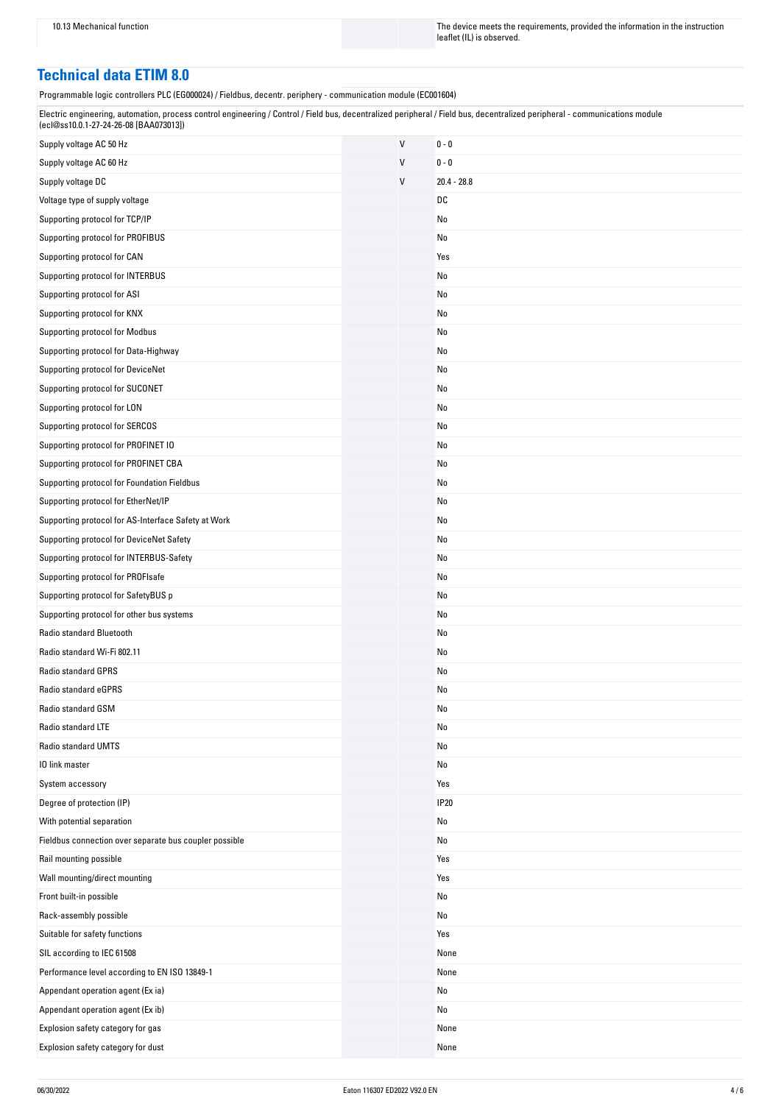10.13 Mechanical function The instruction The device meets the requirements, provided the information in the instruction leaflet (IL) is observed.

### **Technical data ETIM 8.0**

Programmable logic controllers PLC (EG000024) / Fieldbus, decentr. periphery - communication module (EC001604)

| Electric engineering, automation, process control engineering / Control / Field bus, decentralized peripheral / Field bus, decentralized peripheral - communications module |  |
|-----------------------------------------------------------------------------------------------------------------------------------------------------------------------------|--|
| (ecl@ss10.0.1-27-24-26-08 [BAA073013])                                                                                                                                      |  |

| Supply voltage AC 50 Hz                                | $\sf V$ | $0 - 0$       |
|--------------------------------------------------------|---------|---------------|
| Supply voltage AC 60 Hz                                | V       | $0 - 0$       |
| Supply voltage DC                                      | $\vee$  | $20.4 - 28.8$ |
| Voltage type of supply voltage                         |         | DC            |
| Supporting protocol for TCP/IP                         |         | No            |
| Supporting protocol for PROFIBUS                       |         | No            |
| Supporting protocol for CAN                            |         | Yes           |
| Supporting protocol for INTERBUS                       |         | No            |
| Supporting protocol for ASI                            |         | No            |
| Supporting protocol for KNX                            |         | No            |
| Supporting protocol for Modbus                         |         | No            |
| Supporting protocol for Data-Highway                   |         | No            |
| Supporting protocol for DeviceNet                      |         | No            |
| Supporting protocol for SUCONET                        |         | No            |
| Supporting protocol for LON                            |         | No            |
| Supporting protocol for SERCOS                         |         | No            |
| Supporting protocol for PROFINET IO                    |         | No            |
| Supporting protocol for PROFINET CBA                   |         | No            |
| Supporting protocol for Foundation Fieldbus            |         | No            |
| Supporting protocol for EtherNet/IP                    |         | No            |
| Supporting protocol for AS-Interface Safety at Work    |         | No            |
| Supporting protocol for DeviceNet Safety               |         | No            |
| Supporting protocol for INTERBUS-Safety                |         | No            |
| Supporting protocol for PROFIsafe                      |         | No            |
| Supporting protocol for SafetyBUS p                    |         | No            |
| Supporting protocol for other bus systems              |         | No            |
| Radio standard Bluetooth                               |         | No            |
| Radio standard Wi-Fi 802.11                            |         | No            |
| Radio standard GPRS                                    |         | No            |
| Radio standard eGPRS                                   |         | No            |
| Radio standard GSM                                     |         | No            |
| Radio standard LTE                                     |         | No            |
| Radio standard UMTS                                    |         | No            |
| 10 link master                                         |         | No            |
| System accessory                                       |         | Yes           |
| Degree of protection (IP)                              |         | <b>IP20</b>   |
| With potential separation                              |         | No            |
| Fieldbus connection over separate bus coupler possible |         | No            |
| Rail mounting possible                                 |         | Yes           |
| Wall mounting/direct mounting                          |         | Yes           |
| Front built-in possible                                |         | No            |
| Rack-assembly possible                                 |         | No            |
| Suitable for safety functions                          |         | Yes           |
| SIL according to IEC 61508                             |         | None          |
| Performance level according to EN ISO 13849-1          |         | None          |
| Appendant operation agent (Ex ia)                      |         | No            |
| Appendant operation agent (Ex ib)                      |         | No            |
| Explosion safety category for gas                      |         | None          |
| Explosion safety category for dust                     |         | None          |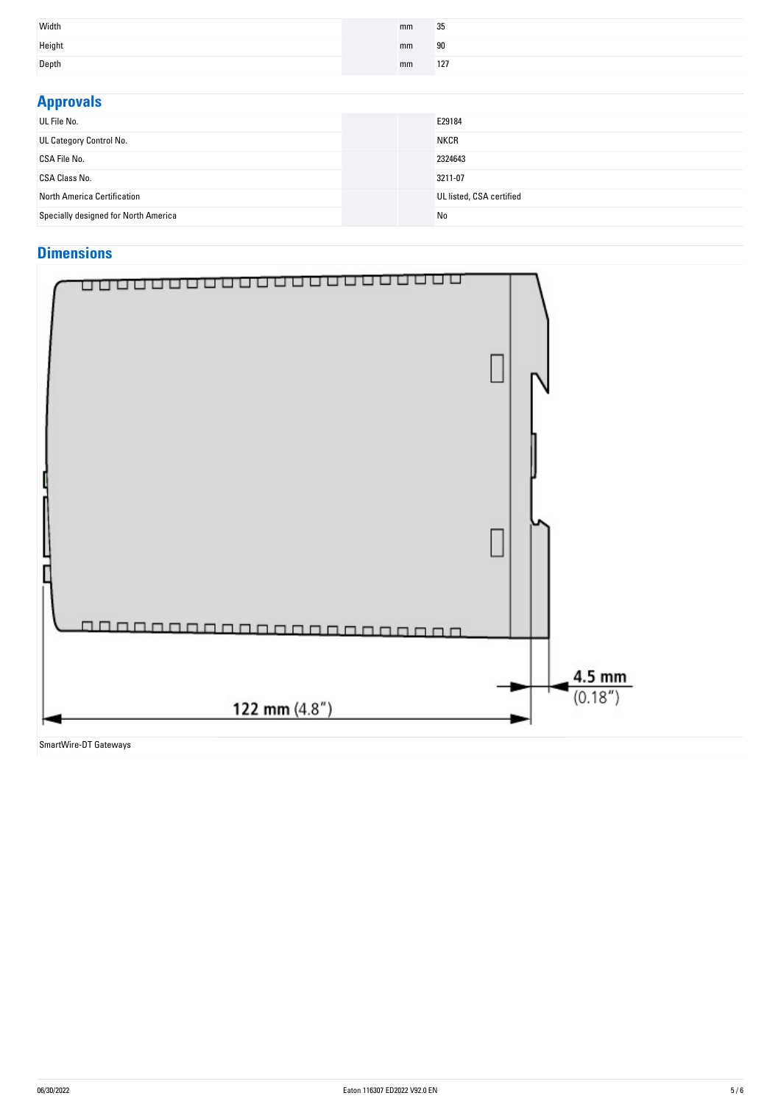| Width  | mm | 35  |
|--------|----|-----|
| Height | mm | 90  |
| Depth  | mm | 127 |

| <b>Approvals</b>                     |                          |
|--------------------------------------|--------------------------|
| UL File No.                          | E29184                   |
| UL Category Control No.              | <b>NKCR</b>              |
| CSA File No.                         | 2324643                  |
| <b>CSA Class No.</b>                 | 3211-07                  |
| North America Certification          | UL listed, CSA certified |
| Specially designed for North America | No                       |

## **Dimensions**



SmartWire-DT Gateways